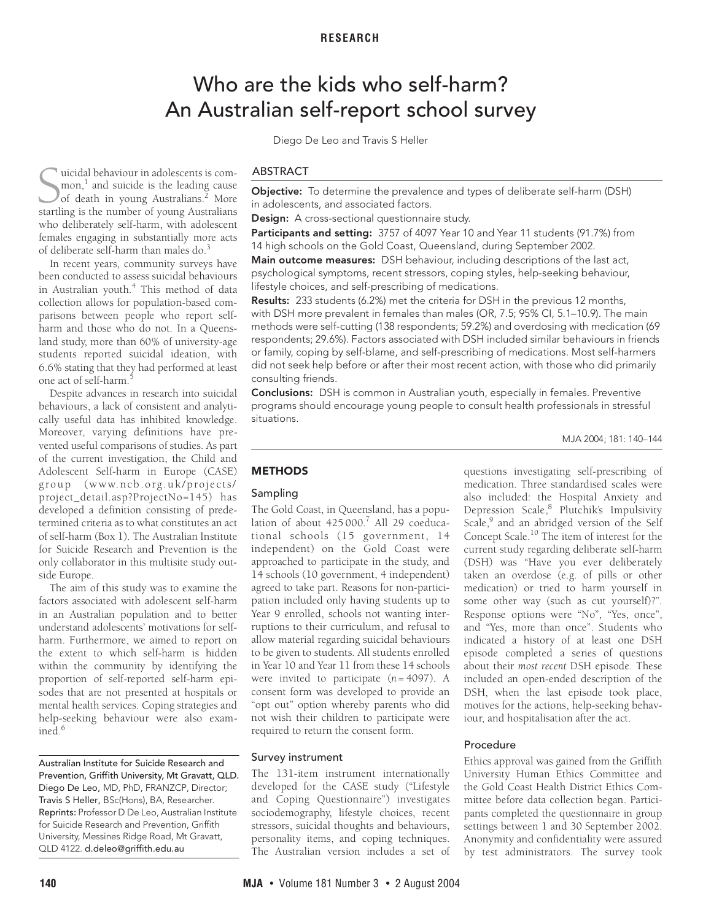# Who are the kids who self-harm? An Australian self-report school survey

Diego De Leo and Travis S Heller

<span id="page-0-0"></span>uicidal behaviour in adolescents is common,<sup>1</sup> and suicide is the leading cause of death in young Australians.<sup>2</sup> More startling is the number of young Australians.<sup>2</sup> More startling is the number of young Australians.<sup>2</sup> More who deliberately self-harm, with adolescent females engaging in substantially more acts of deliberate self-harm than males do.[3](#page-3-2)

In recent years, community surveys have  $\frac{1}{2}$ <br> $\frac{1}{2}$   $\frac{1}{2}$   $\frac{4}{2}$   $\frac{1}{2}$   $\frac{1}{2}$   $\frac{1}{2}$   $\frac{1}{2}$   $\frac{1}{2}$   $\frac{1}{2}$ [in Austra](#page-4-6)lian youth.<sup>[4](#page-3-3)</sup> This method of data collection allows for population-based comparisons between people who report selfharm and those who do not. In a Queensbeen conducted to assess suicidal behavi[ours](#page-0-0) land study, more than 60% of university-age students reported suicidal ideation, with 6.6% stating that they had performed at least one act of self-harm.

Despite advances in research into suicidal behaviours, a lack of consistent and analytically useful data has inhibited knowledge. Moreover, varying definitions have prevented useful comparisons of studies. As part of the current investigation, the Child and Adolescent Self-harm in Europe (CASE) group (www.ncb .org.uk/projects/ project\_detail.asp?ProjectNo=145) has developed a definition consisting of predetermined criteria as to what constitutes an act of self-harm [\(Box 1\)](#page-1-0). The Australian Institute for Suicide Research and Prevention is the only collaborator in this multisite study outside Europe.

The aim of this study was to examine the factors associated with adolescent self-harm in an Australian population and to better understand adolescents' motivations for selfharm. Furthermore, we aimed to report on the extent to which self-harm is hidden within the community by identifying the proportion of self-reported self-harm episodes that are not presented at hospitals or mental health services. Coping strategies and help-seeking behaviour were also examined.[6](#page-4-1)

Australian Institute for Suicide Research and Prevention, Griffith University, Mt Gravatt, QLD. Diego De Leo, MD, PhD, FRANZCP, Director; Travis S Heller, BSc(Hons), BA, Researcher. Reprints: Professor D De Leo, Australian Institute for Suicide Research and Prevention, Griffith University, Messines Ridge Road, Mt Gravatt, QLD 4122. d.deleo@griffith.edu.au

#### ABSTRACT

**Objective:** To determine the prevalence and types of deliberate self-harm (DSH) in adolescents, and associated factors.

**Design:** A cross-sectional questionnaire study.

**Participants and setting:** 3757 of 4097 Year 10 and Year 11 students (91.7%) from 14 high schools on the Gold Coast, Queensland, during September 2002.

**Main outcome measures:** DSH behaviour, including descriptions of the last act, psychological symptoms, recent stressors, coping styles, help-seeking behaviour, lifestyle choices, and self-prescribing of medications.

**Results:** 233 students (6.2%) met the criteria for DSH in the previous 12 months, with DSH more prevalent in females than males (OR, 7.5; 95% CI, 5.1–10.9). The main methods were self-cutting (138 respondents; 59.2%) and overdosing with medication (69 respondents; 29.6%). Factors associated with DSH included similar behaviours in friends or family, coping by self-blame, and self-prescribing of medications. Most self-harmers did not seek help before or after their most recent action, with those who did primarily consulting friends.

**Conclusions:** DSH is common in Australian youth, especially in females. Preventive programs should encourage young people to consult health professionals in stressful situations.

MJA 2004; 181: 140–144

# **METHODS**

# Sampling

The Gold Coast, in Queensland, has a popu-lation of about 425000.<sup>[7](#page-4-2)</sup> All 29 coeducational schools (15 government, 14 independent) on the Gold Coast were approached to participate in the study, and 14 schools (10 government, 4 independent) agreed to take part. Reasons for non-participation included only having students up to Year 9 enrolled, schools not wanting interruptions to their curriculum, and refusal to allow material regarding suicidal behaviours to be given to students. All students enrolled in Year 10 and Year 11 from these 14 schools were invited to participate (*n* = 4097). A consent form was developed to provide an "opt out" option whereby parents who did not wish their children to participate were required to return the consent form.

#### Survey instrument

The 131-item instrument internationally developed for the CASE study ("Lifestyle and Coping Questionnaire") investigates sociodemography, lifestyle choices, recent stressors, suicidal thoughts and behaviours, personality items, and coping techniques. The Australian version includes a set of questions investigating self-prescribing of medication. Three standardised scales were also included: the Hospital Anxiety and Depression Scale,<sup>8</sup> Plutchik's Impulsivity Scale,<sup>9</sup> and an abridged version of the Self Concept Scale[.10](#page-4-5) The item of interest for the current study regarding deliberate self-harm (DSH) was "Have you ever deliberately taken an overdose (e.g. of pills or other medication) or tried to harm yourself in some other way (such as cut yourself)?". Response options were "No", "Yes, once", and "Yes, more than once". Students who indicated a history of at least one DSH episode completed a series of questions about their *most recent* DSH episode. These included an open-ended description of the DSH, when the last episode took place, motives for the actions, help-seeking behaviour, and hospitalisation after the act.

#### Procedure

Ethics approval was gained from the Griffith University Human Ethics Committee and the Gold Coast Health District Ethics Committee before data collection began. Participants completed the questionnaire in group settings between 1 and 30 September 2002. Anonymity and confidentiality were assured by test administrators. The survey took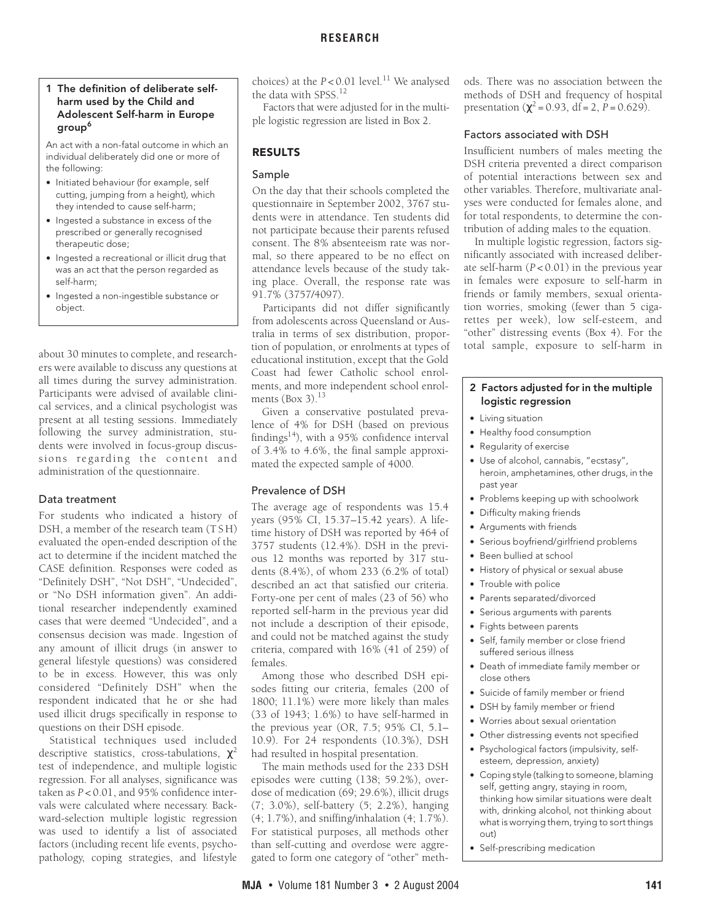# <span id="page-1-0"></span>**1 The definition of deliberate selfharm used by the Child and Adolescent Self-harm in Europe group[6](#page-4-1)**

An act with a non-fatal outcome in which an individual deliberately did one or more of the following:

- **•** Initiated behaviour (for example, self cutting, jumping from a height), which they intended to cause self-harm;
- **•** Ingested a substance in excess of the prescribed or generally recognised therapeutic dose;
- **•** Ingested a recreational or illicit drug that was an act that the person regarded as self-harm;
- **•** Ingested a non-ingestible substance or object.

about 30 minutes to complete, and researchers were available to discuss any questions at all times during the survey administration. Participants were advised of available clinical services, and a clinical psychologist was present at all testing sessions. Immediately following the survey administration, students were involved in focus-group discussions regarding the content and administration of the questionnaire.

# Data treatment

For students who indicated a history of DSH, a member of the research team (T S H) evaluated the open-ended description of the act to determine if the incident matched the CASE definition. Responses were coded as "Definitely DSH", "Not DSH", "Undecided", or "No DSH information given". An additional researcher independently examined cases that were deemed "Undecided", and a consensus decision was made. Ingestion of any amount of illicit drugs (in answer to general lifestyle questions) was considered to be in excess. However, this was only considered "Definitely DSH" when the respondent indicated that he or she had used illicit drugs specifically in response to questions on their DSH episode.

Statistical techniques used included descriptive statistics, cross-tabulations,  $\chi^2$ test of independence, and multiple logistic regression. For all analyses, significance was taken as *P* < 0.01, and 95% confidence intervals were calculated where necessary. Backward-selection multiple logistic regression was used to identify a list of associated factors (including recent life events, psychopathology, coping strategies, and lifestyle

choices) at the  $P < 0.01$  level.<sup>11</sup> We analysed the data with SPSS[.12](#page-4-8)

Factors that were adjusted for in the multiple logistic regression are listed in [Box 2.](#page-1-1)

# **RESULTS**

# Sample

On the day that their schools completed the questionnaire in September 2002, 3767 students were in attendance. Ten students did not participate because their parents refused consent. The 8% absenteeism rate was normal, so there appeared to be no effect on attendance levels because of the study taking place. Overall, the response rate was 91.7% (3757/4097).

Participants did not differ significantly from adolescents across Queensland or Australia in terms of sex distribution, proportion of population, or enrolments at types of educational institution, except that the Gold Coast had fewer Catholic school enrolments, and more independent school enrol-ments ([Box 3](#page-2-0)). $13$ 

Given a conservative postulated prevalence of 4% for DSH (based on previous findings $14$ ), with a 95% confidence interval of 3.4% to 4.6%, the final sample approximated the expected sample of 4000.

# Prevalence of DSH

The average age of respondents was 15.4 years (95% CI, 15.37–15.42 years). A lifetime history of DSH was reported by 464 of 3757 students (12.4%). DSH in the previous 12 months was reported by 317 students (8.4%), of whom 233 (6.2% of total) described an act that satisfied our criteria. Forty-one per cent of males (23 of 56) who reported self-harm in the previous year did not include a description of their episode, and could not be matched against the study criteria, compared with 16% (41 of 259) of females.

Among those who described DSH episodes fitting our criteria, females (200 of 1800; 11.1%) were more likely than males (33 of 1943; 1.6%) to have self-harmed in the previous year (OR, 7.5; 95% CI, 5.1– 10.9). For 24 respondents (10.3%), DSH had resulted in hospital presentation.

The main methods used for the 233 DSH episodes were cutting (138; 59.2%), overdose of medication (69; 29.6%), illicit drugs (7; 3.0%), self-battery (5; 2.2%), hanging (4; 1.7%), and sniffing/inhalation (4; 1.7%). For statistical purposes, all methods other than self-cutting and overdose were aggregated to form one category of "other" methods. There was no association between the methods of DSH and frequency of hospital presentation ( $\gamma^2$  = 0.93, df = 2, P = 0.629).

# Factors associated with DSH

Insufficient numbers of males meeting the DSH criteria prevented a direct comparison of potential interactions between sex and other variables. Therefore, multivariate analyses were conducted for females alone, and for total respondents, to determine the contribution of adding males to the equation.

In multiple logistic regression, factors significantly associated with increased deliberate self-harm (*P* < 0.01) in the previous year in females were exposure to self-harm in friends or family members, sexual orientation worries, smoking (fewer than 5 cigarettes per week), low self-esteem, and "other" distressing events ([Box 4](#page-3-4)). For the total sample, exposure to self-harm in

#### <span id="page-1-1"></span>**2 Factors adjusted for in the multiple logistic regression**

- **•** Living situation
- **•** Healthy food consumption
- **•** Regularity of exercise
- **•** Use of alcohol, cannabis, "ecstasy", heroin, amphetamines, other drugs, in the past year
- **•** Problems keeping up with schoolwork
- **•** Difficulty making friends
- **•** Arguments with friends
- **•** Serious boyfriend/girlfriend problems
- **•** Been bullied at school
- **•** History of physical or sexual abuse
- **•** Trouble with police
- **•** Parents separated/divorced
- **•** Serious arguments with parents
- **•** Fights between parents
- **•** Self, family member or close friend suffered serious illness
- **•** Death of immediate family member or close others
- **•** Suicide of family member or friend
- **•** DSH by family member or friend
- **•** Worries about sexual orientation
- **•** Other distressing events not specified
- **•** Psychological factors (impulsivity, selfesteem, depression, anxiety)
- **•** Coping style (talking to someone, blaming self, getting angry, staying in room, thinking how similar situations were dealt with, drinking alcohol, not thinking about what is worrying them, trying to sort things out)
- **•** Self-prescribing medication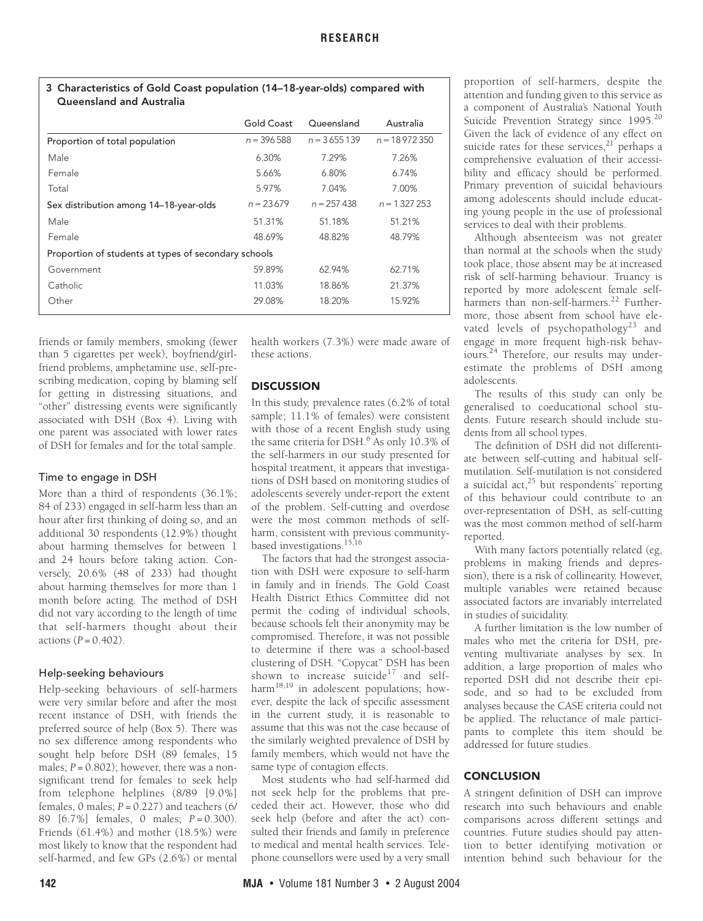#### <span id="page-2-0"></span>**3 Characteristics of Gold Coast population (14–18-year-olds) compared with Queensland and Australia**

|                                                      | Gold Coast   | Queensland    | Australia      |  |  |
|------------------------------------------------------|--------------|---------------|----------------|--|--|
| Proportion of total population                       | $n = 396588$ | $n = 3655139$ | $n = 18972350$ |  |  |
| Male                                                 | 6.30%        | 7.29%         | 7.26%          |  |  |
| Female                                               | 5.66%        | 6.80%         | 6.74%          |  |  |
| Total                                                | 5.97%        | 7.04%         | 7.00%          |  |  |
| Sex distribution among 14-18-year-olds               | $n = 23679$  | $n = 257438$  | $n = 1.327253$ |  |  |
| Male                                                 | 51.31%       | 51.18%        | 51.21%         |  |  |
| Female                                               | 48.69%       | 48.82%        | 48.79%         |  |  |
| Proportion of students at types of secondary schools |              |               |                |  |  |
| Government                                           | 59.89%       | 62.94%        | 62.71%         |  |  |
| Catholic                                             | 11.03%       | 18.86%        | 21.37%         |  |  |
| Other                                                | 29.08%       | 18.20%        | 15.92%         |  |  |

friends or family members, smoking (fewer than 5 cigarettes per week), boyfriend/girlfriend problems, amphetamine use, self-prescribing medication, coping by blaming self for getting in distressing situations, and "other" distressing events were significantly associated with DSH [\(Box 4\)](#page-3-4). Living with one parent was associated with lower rates of DSH for females and for the total sample.

#### Time to engage in DSH

More than a third of respondents (36.1%; 84 of 233) engaged in self-harm less than an hour after first thinking of doing so, and an additional 30 respondents (12.9%) thought about harming themselves for between 1 and 24 hours before taking action. Conversely, 20.6% (48 of 233) had thought about harming themselves for more than 1 month before acting. The method of DSH did not vary according to the length of time that self-harmers thought about their actions (*P* = 0.402).

# Help-seeking behaviours

Help-seeking behaviours of self-harmers were very similar before and after the most recent instance of DSH, with friends the preferred source of help [\(Box 5](#page-3-5)). There was no sex difference among respondents who sought help before DSH (89 females, 15 males;  $P = 0.802$ ); however, there was a nonsignificant trend for females to seek help from telephone helplines (8/89 [9.0%] females,  $0$  males;  $P = 0.227$ ) and teachers (6/ 89 [6.7%] females, 0 males; *P* = 0.300). Friends (61.4%) and mother (18.5%) were most likely to know that the respondent had self-harmed, and few GPs (2.6%) or mental

health workers (7.3%) were made aware of these actions.

# **DISCUSSION**

In this study, prevalence rates (6.2% of total sample; 11.1% of females) were consistent with those of a recent English study using the same criteria for DSH.<sup>6</sup> As only 10.3% of the self-harmers in our study presented for hospital treatment, it appears that investigations of DSH based on monitoring studies of adolescents severely under-report the extent of the problem. Self-cutting and overdose were the most common methods of selfharm, consistent with previous communitybased investigations[.15](#page-4-11),[16](#page-4-12)

The factors that had the strongest association with DSH were exposure to self-harm in family and in friends. The Gold Coast Health District Ethics Committee did not permit the coding of individual schools, because schools felt their anonymity may be compromised. Therefore, it was not possible to determine if there was a school-based clustering of DSH. "Copycat" DSH has been shown to increase suicide<sup>17</sup> and self-harm<sup>[18](#page-4-14),[19](#page-4-15)</sup> in adolescent populations; however, despite the lack of specific assessment in the current study, it is reasonable to assume that this was not the case because of the similarly weighted prevalence of DSH by family members, which would not have the same type of contagion effects.

Most students who had self-harmed did not seek help for the problems that preceded their act. However, those who did seek help (before and after the act) consulted their friends and family in preference to medical and mental health services. Telephone counsellors were used by a very small proportion of self-harmers, despite the attention and funding given to this service as a component of Australia's National Youth Suicide Prevention Strategy since 1995.<sup>[20](#page-4-16)</sup> Given the lack of evidence of any effect on suicide rates for these services, $21$  perhaps a comprehensive evaluation of their accessibility and efficacy should be performed. Primary prevention of suicidal behaviours among adolescents should include educating young people in the use of professional services to deal with their problems.

Although absenteeism was not greater than normal at the schools when the study took place, those absent may be at increased risk of self-harming behaviour. Truancy is reported by more adolescent female selfharmers than non-self-harmers.<sup>22</sup> Furthermore, those absent from school have elevated levels of psychopathology<sup>23</sup> and engage in more frequent high-risk behaviours[.24](#page-4-20) Therefore, our results may underestimate the problems of DSH among adolescents.

The results of this study can only be generalised to coeducational school students. Future research should include students from all school types.

The definition of DSH did not differentiate between self-cutting and habitual selfmutilation. Self-mutilation is not considered a suicidal act, $^{25}$  but respondents' reporting of this behaviour could contribute to an over-representation of DSH, as self-cutting was the most common method of self-harm reported.

With many factors potentially related (eg, problems in making friends and depression), there is a risk of collinearity. However, multiple variables were retained because associated factors are invariably interrelated in studies of suicidality.

A further limitation is the low number of males who met the criteria for DSH, preventing multivariate analyses by sex. In addition, a large proportion of males who reported DSH did not describe their episode, and so had to be excluded from analyses because the CASE criteria could not be applied. The reluctance of male participants to complete this item should be addressed for future studies.

# **CONCLUSION**

A stringent definition of DSH can improve research into such behaviours and enable comparisons across different settings and countries. Future studies should pay attention to better identifying motivation or intention behind such behaviour for the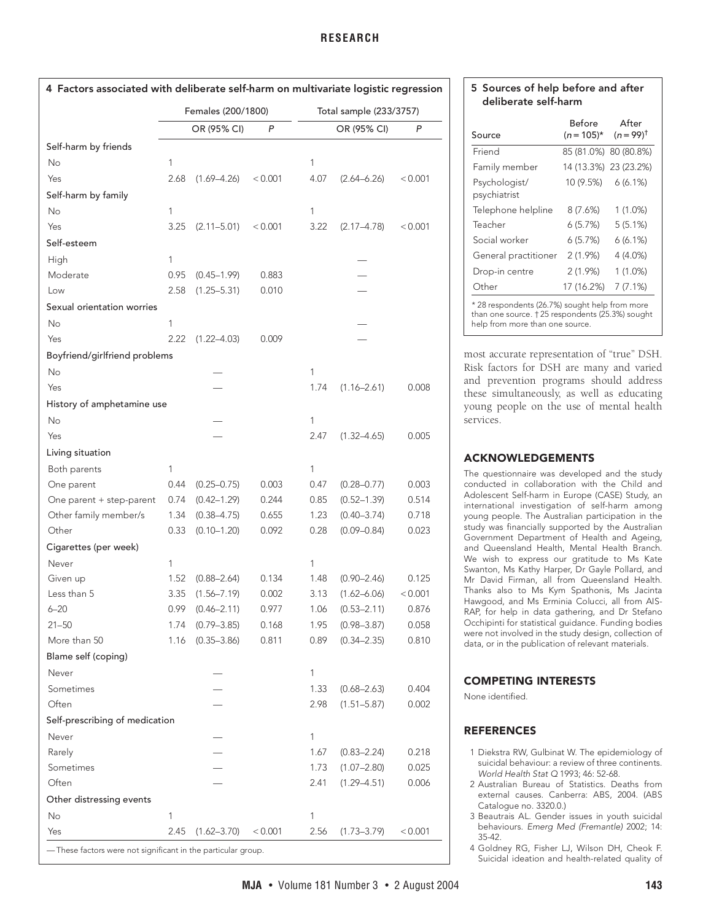<span id="page-3-4"></span>

| 4 Factors associated with deliberate self-harm on multivariate logistic regression |                    |                         |  |  |
|------------------------------------------------------------------------------------|--------------------|-------------------------|--|--|
|                                                                                    | Females (200/1800) | Total sample (233/3757) |  |  |

|                                                              |              | OR (95% CI)     | P       |              | OR (95% CI)     | P       |
|--------------------------------------------------------------|--------------|-----------------|---------|--------------|-----------------|---------|
| Self-harm by friends                                         |              |                 |         |              |                 |         |
| No                                                           | 1            |                 |         | $\mathbf{1}$ |                 |         |
| Yes                                                          | 2.68         | $(1.69 - 4.26)$ | < 0.001 | 4.07         | $(2.64 - 6.26)$ | < 0.001 |
| Self-harm by family                                          |              |                 |         |              |                 |         |
| No                                                           | 1            |                 |         | $\mathbf{1}$ |                 |         |
| Yes                                                          | 3.25         | $(2.11 - 5.01)$ | < 0.001 | 3.22         | $(2.17 - 4.78)$ | < 0.001 |
| Self-esteem                                                  |              |                 |         |              |                 |         |
| High                                                         | $\mathbf{1}$ |                 |         |              |                 |         |
| Moderate                                                     | 0.95         | $(0.45 - 1.99)$ | 0.883   |              |                 |         |
| Low                                                          | 2.58         | $(1.25 - 5.31)$ | 0.010   |              |                 |         |
| Sexual orientation worries                                   |              |                 |         |              |                 |         |
| No                                                           | 1            |                 |         |              |                 |         |
| Yes                                                          | 2.22         | $(1.22 - 4.03)$ | 0.009   |              |                 |         |
| Boyfriend/girlfriend problems                                |              |                 |         |              |                 |         |
| No                                                           |              |                 |         | $\mathbf{1}$ |                 |         |
| Yes                                                          |              |                 |         | 1.74         | $(1.16 - 2.61)$ | 0.008   |
| History of amphetamine use                                   |              |                 |         |              |                 |         |
| No                                                           |              |                 |         | 1            |                 |         |
| Yes                                                          |              |                 |         | 2.47         | $(1.32 - 4.65)$ | 0.005   |
| Living situation                                             |              |                 |         |              |                 |         |
| Both parents                                                 | 1            |                 |         | $\mathbf{1}$ |                 |         |
| One parent                                                   | 0.44         | $(0.25 - 0.75)$ | 0.003   | 0.47         | $(0.28 - 0.77)$ | 0.003   |
| One parent + step-parent                                     | 0.74         | $(0.42 - 1.29)$ | 0.244   | 0.85         | $(0.52 - 1.39)$ | 0.514   |
| Other family member/s                                        | 1.34         | $(0.38 - 4.75)$ | 0.655   | 1.23         | $(0.40 - 3.74)$ | 0.718   |
| Other                                                        | 0.33         | $(0.10 - 1.20)$ | 0.092   | 0.28         | $(0.09 - 0.84)$ | 0.023   |
| Cigarettes (per week)                                        |              |                 |         |              |                 |         |
| Never                                                        | 1            |                 |         | $\mathbf{1}$ |                 |         |
| Given up                                                     | 1.52         | $(0.88 - 2.64)$ | 0.134   | 1.48         | $(0.90 - 2.46)$ | 0.125   |
| Less than 5                                                  | 3.35         | $(1.56 - 7.19)$ | 0.002   | 3.13         | $(1.62 - 6.06)$ | < 0.001 |
| $6 - 20$                                                     | 0.99         | $(0.46 - 2.11)$ | 0.977   | 1.06         | $(0.53 - 2.11)$ | 0.876   |
| $21 - 50$                                                    | 1.74         | $(0.79 - 3.85)$ | 0.168   | 1.95         | $(0.98 - 3.87)$ | 0.058   |
| More than 50                                                 | 1.16         | $(0.35 - 3.86)$ | 0.811   | 0.89         | $(0.34 - 2.35)$ | 0.810   |
| Blame self (coping)                                          |              |                 |         |              |                 |         |
| Never                                                        |              |                 |         | $\mathbf{1}$ |                 |         |
| Sometimes                                                    |              |                 |         | 1.33         | $(0.68 - 2.63)$ | 0.404   |
| Often                                                        |              |                 |         | 2.98         | $(1.51 - 5.87)$ | 0.002   |
| Self-prescribing of medication                               |              |                 |         |              |                 |         |
| Never                                                        |              |                 |         | 1            |                 |         |
| Rarely                                                       |              |                 |         | 1.67         | $(0.83 - 2.24)$ | 0.218   |
| Sometimes                                                    |              |                 |         | 1.73         | $(1.07 - 2.80)$ | 0.025   |
| Often                                                        |              |                 |         | 2.41         | $(1.29 - 4.51)$ | 0.006   |
| Other distressing events                                     |              |                 |         |              |                 |         |
| No                                                           | 1            |                 |         | 1            |                 |         |
| Yes                                                          | 2.45         | $(1.62 - 3.70)$ | < 0.001 | 2.56         | $(1.73 - 3.79)$ | < 0.001 |
| -These factors were not significant in the particular group. |              |                 |         |              |                 |         |

# <span id="page-3-5"></span>**5 Sources of help before and after deliberate self-harm**

| Before<br>$(n = 105)^*$ | After<br>$(n = 99)^{+}$ |
|-------------------------|-------------------------|
|                         | 85 (81.0%) 80 (80.8%)   |
|                         | 14 (13.3%) 23 (23.2%)   |
| $10(9.5\%)$ 6 (6.1%)    |                         |
| 8 (7.6%)                | 1(1.0%)                 |
| 6(5.7%)                 | 5(5.1%)                 |
| 6(5.7%)                 | 6(6.1%)                 |
| 2(1.9%)                 | 4 (4.0%)                |
| $2(1.9\%)$              | 1(1.0%)                 |
| 17 (16.2%)              | 7(7.1%)                 |
|                         | .                       |

\* 28 respondents (26.7%) sought help from more than one source. † 25 respondents (25.3%) sought help from more than one source.

most accurate representation of "true" DSH. Risk factors for DSH are many and varied and prevention programs should address these simultaneously, as well as educating young people on the use of mental health services.

# **ACKNOWLEDGEMENTS**

The questionnaire was developed and the study conducted in collaboration with the Child and Adolescent Self-harm in Europe (CASE) Study, an international investigation of self-harm among young people. The Australian participation in the study was financially supported by the Australian Government Department of Health and Ageing, and Queensland Health, Mental Health Branch. We wish to express our gratitude to Ms Kate Swanton, Ms Kathy Harper, Dr Gayle Pollard, and Mr David Firman, all from Queensland Health. Thanks also to Ms Kym Spathonis, Ms Jacinta Hawgood, and Ms Erminia Colucci, all from AIS-RAP, for help in data gathering, and Dr Stefano Occhipinti for statistical guidance. Funding bodies were not involved in the study design, collection of data, or in the publication of relevant materials.

# **COMPETING INTERESTS**

None identified.

# **REFERENCES**

- <span id="page-3-0"></span>1 Diekstra RW, Gulbinat W. The epidemiology of suicidal behaviour: a review of three continents. World Health Stat Q 1993; 46: 52-68.
- <span id="page-3-1"></span>2 Australian Bureau of Statistics. Deaths from external causes. Canberra: ABS, 2004. (ABS Catalogue no. 3320.0.)
- <span id="page-3-2"></span>3 Beautrais AL. Gender issues in youth suicidal behaviours. Emerg Med (Fremantle) 2002; 14: 35-42.
- <span id="page-3-3"></span>4 Goldney RG, Fisher LJ, Wilson DH, Cheok F. Suicidal ideation and health-related quality of